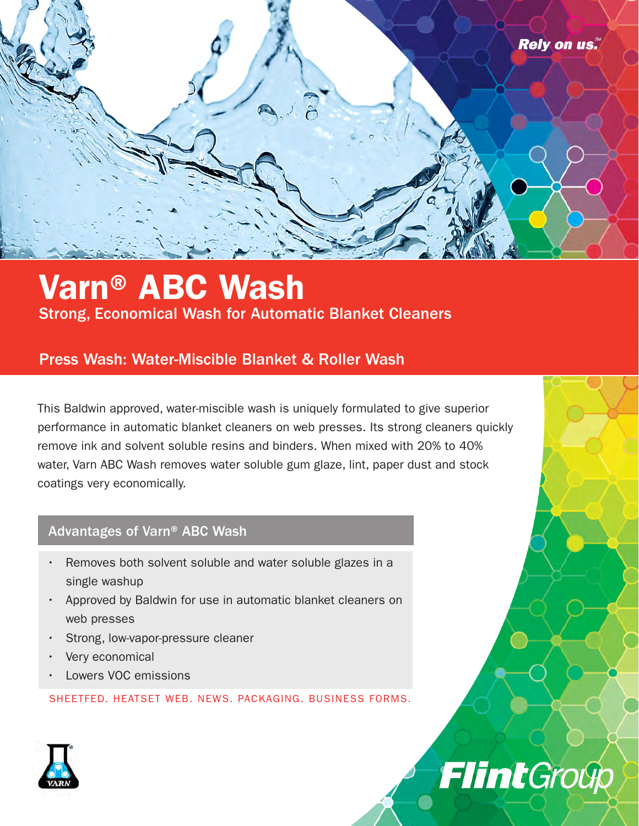

### Varn® ABC Wash Strong, Economical Wash for Automatic Blanket Cleaners

### Press Wash: Water-Miscible Blanket & Roller Wash

This Baldwin approved, water-miscible wash is uniquely formulated to give superior performance in automatic blanket cleaners on web presses. Its strong cleaners quickly remove ink and solvent soluble resins and binders. When mixed with 20% to 40% water, Varn ABC Wash removes water soluble gum glaze, lint, paper dust and stock coatings very economically.

#### Advantages of Varn® ABC Wash

- Removes both solvent soluble and water soluble glazes in a single washup
- Approved by Baldwin for use in automatic blanket cleaners on web presses
- Strong, low-vapor-pressure cleaner
- Very economical
- Lowers VOC emissions

SHEETFED. HEATSET WEB. NEWS. PACKAGING. BUSINESS FORMS.



# **Flint**Group